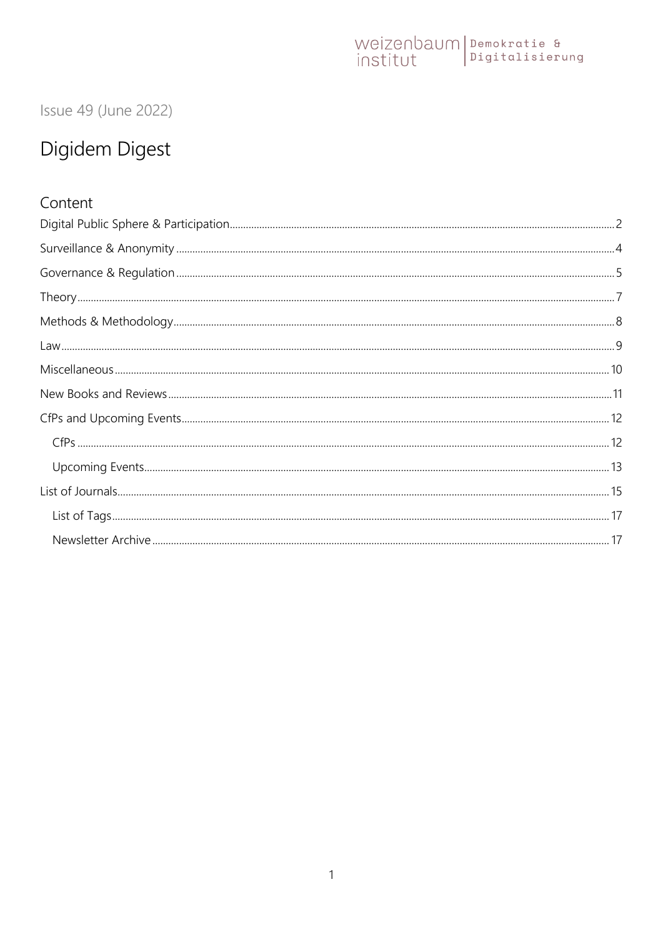### Issue 49 (June 2022)

### Digidem Digest

#### Content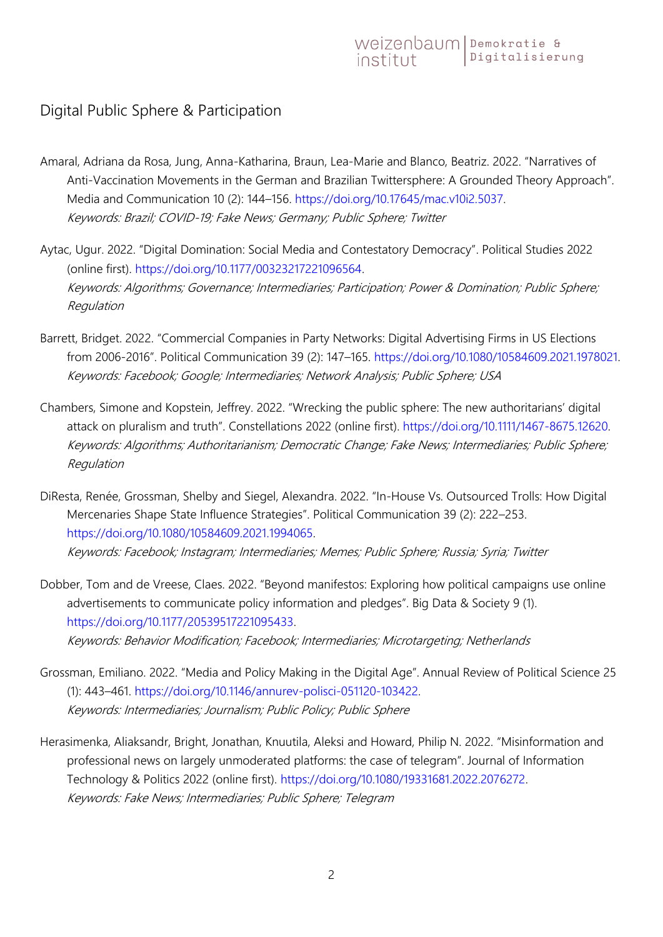#### <span id="page-1-0"></span>Digital Public Sphere & Participation

- Amaral, Adriana da Rosa, Jung, Anna-Katharina, Braun, Lea-Marie and Blanco, Beatriz. 2022. "Narratives of Anti-Vaccination Movements in the German and Brazilian Twittersphere: A Grounded Theory Approach". Media and Communication 10 (2): 144–156. [https://doi.org/10.17645/mac.v10i2.5037.](https://doi.org/10.17645/mac.v10i2.5037) Keywords: Brazil; COVID-19; Fake News; Germany; Public Sphere; Twitter
- Aytac, Ugur. 2022. "Digital Domination: Social Media and Contestatory Democracy". Political Studies 2022 (online first). [https://doi.org/10.1177/00323217221096564.](https://doi.org/10.1177/00323217221096564) Keywords: Algorithms; Governance; Intermediaries; Participation; Power & Domination; Public Sphere; Regulation
- Barrett, Bridget. 2022. "Commercial Companies in Party Networks: Digital Advertising Firms in US Elections from 2006-2016". Political Communication 39 (2): 147–165. [https://doi.org/10.1080/10584609.2021.1978021.](https://doi.org/10.1080/10584609.2021.1978021) Keywords: Facebook; Google; Intermediaries; Network Analysis; Public Sphere; USA
- Chambers, Simone and Kopstein, Jeffrey. 2022. "Wrecking the public sphere: The new authoritarians' digital attack on pluralism and truth". Constellations 2022 (online first). [https://doi.org/10.1111/1467-8675.12620.](https://doi.org/10.1111/1467-8675.12620) Keywords: Algorithms; Authoritarianism; Democratic Change; Fake News; Intermediaries; Public Sphere; Regulation
- DiResta, Renée, Grossman, Shelby and Siegel, Alexandra. 2022. "In-House Vs. Outsourced Trolls: How Digital Mercenaries Shape State Influence Strategies". Political Communication 39 (2): 222–253. [https://doi.org/10.1080/10584609.2021.1994065.](https://doi.org/10.1080/10584609.2021.1994065) Keywords: Facebook; Instagram; Intermediaries; Memes; Public Sphere; Russia; Syria; Twitter
- Dobber, Tom and de Vreese, Claes. 2022. "Beyond manifestos: Exploring how political campaigns use online advertisements to communicate policy information and pledges". Big Data & Society 9 (1). [https://doi.org/10.1177/20539517221095433.](https://doi.org/10.1177/20539517221095433) Keywords: Behavior Modification; Facebook; Intermediaries; Microtargeting; Netherlands
- Grossman, Emiliano. 2022. "Media and Policy Making in the Digital Age". Annual Review of Political Science 25 (1): 443–461. [https://doi.org/10.1146/annurev-polisci-051120-103422.](https://doi.org/10.1146/annurev-polisci-051120-103422) Keywords: Intermediaries; Journalism; Public Policy; Public Sphere
- Herasimenka, Aliaksandr, Bright, Jonathan, Knuutila, Aleksi and Howard, Philip N. 2022. "Misinformation and professional news on largely unmoderated platforms: the case of telegram". Journal of Information Technology & Politics 2022 (online first). [https://doi.org/10.1080/19331681.2022.2076272.](https://doi.org/10.1080/19331681.2022.2076272) Keywords: Fake News; Intermediaries; Public Sphere; Telegram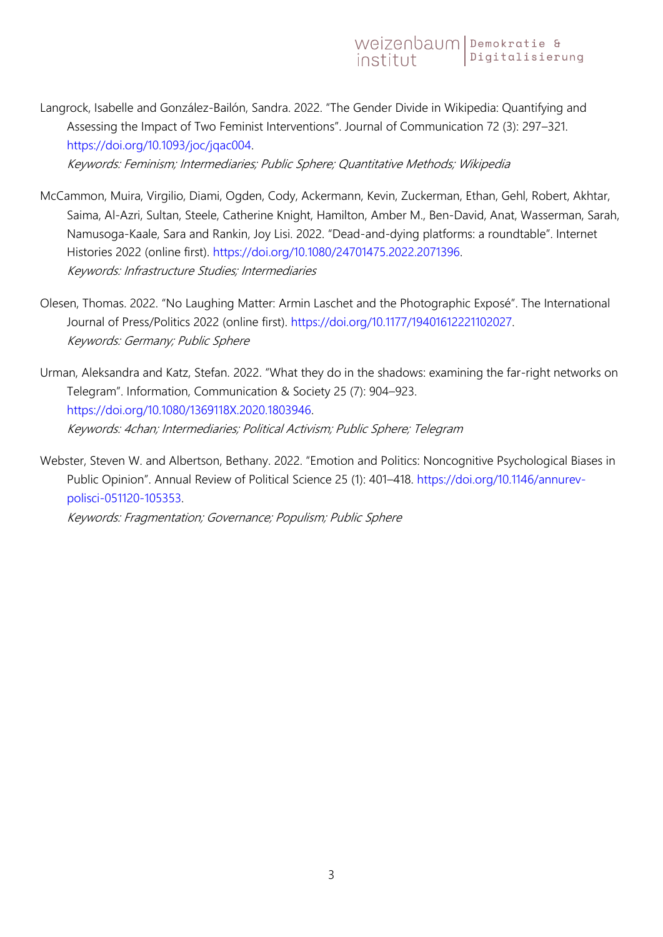Langrock, Isabelle and González-Bailón, Sandra. 2022. "The Gender Divide in Wikipedia: Quantifying and Assessing the Impact of Two Feminist Interventions". Journal of Communication 72 (3): 297–321. [https://doi.org/10.1093/joc/jqac004.](https://doi.org/10.1093/joc/jqac004)

Keywords: Feminism; Intermediaries; Public Sphere; Quantitative Methods; Wikipedia

- McCammon, Muira, Virgilio, Diami, Ogden, Cody, Ackermann, Kevin, Zuckerman, Ethan, Gehl, Robert, Akhtar, Saima, Al-Azri, Sultan, Steele, Catherine Knight, Hamilton, Amber M., Ben-David, Anat, Wasserman, Sarah, Namusoga-Kaale, Sara and Rankin, Joy Lisi. 2022. "Dead-and-dying platforms: a roundtable". Internet Histories 2022 (online first). [https://doi.org/10.1080/24701475.2022.2071396.](https://doi.org/10.1080/24701475.2022.2071396) Keywords: Infrastructure Studies; Intermediaries
- Olesen, Thomas. 2022. "No Laughing Matter: Armin Laschet and the Photographic Exposé". The International Journal of Press/Politics 2022 (online first). [https://doi.org/10.1177/19401612221102027.](https://doi.org/10.1177/19401612221102027) Keywords: Germany; Public Sphere
- Urman, Aleksandra and Katz, Stefan. 2022. "What they do in the shadows: examining the far-right networks on Telegram". Information, Communication & Society 25 (7): 904–923. [https://doi.org/10.1080/1369118X.2020.1803946.](https://doi.org/10.1080/1369118X.2020.1803946) Keywords: 4chan; Intermediaries; Political Activism; Public Sphere; Telegram
- Webster, Steven W. and Albertson, Bethany. 2022. "Emotion and Politics: Noncognitive Psychological Biases in Public Opinion". Annual Review of Political Science 25 (1): 401–418. [https://doi.org/10.1146/annurev](https://doi.org/10.1146/annurev-polisci-051120-105353)[polisci-051120-105353.](https://doi.org/10.1146/annurev-polisci-051120-105353)

Keywords: Fragmentation; Governance; Populism; Public Sphere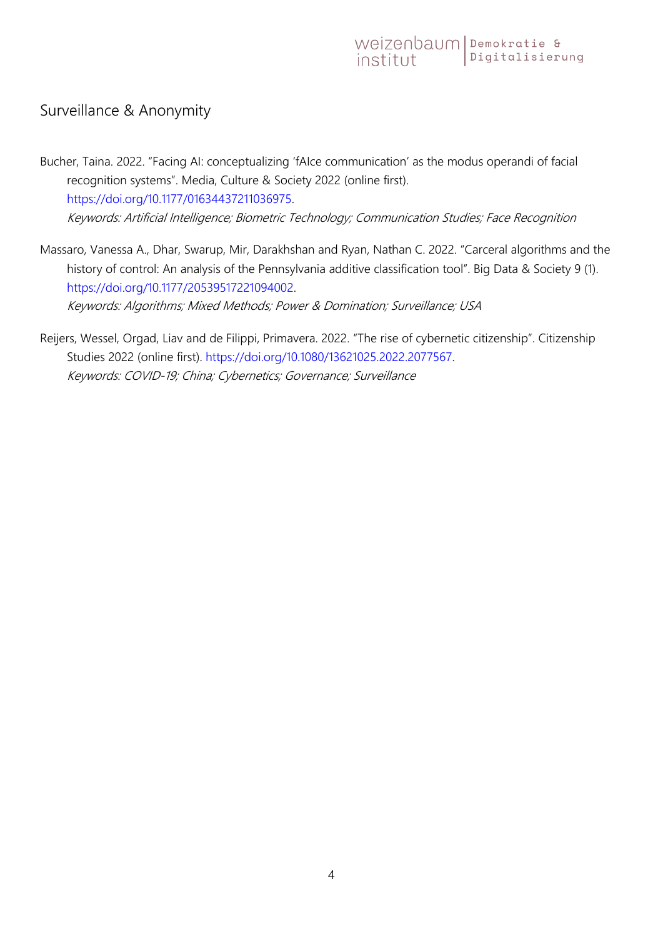#### <span id="page-3-0"></span>Surveillance & Anonymity

- Bucher, Taina. 2022. "Facing AI: conceptualizing 'fAIce communication' as the modus operandi of facial recognition systems". Media, Culture & Society 2022 (online first). [https://doi.org/10.1177/01634437211036975.](https://doi.org/10.1177/01634437211036975) Keywords: Artificial Intelligence; Biometric Technology; Communication Studies; Face Recognition
- Massaro, Vanessa A., Dhar, Swarup, Mir, Darakhshan and Ryan, Nathan C. 2022. "Carceral algorithms and the history of control: An analysis of the Pennsylvania additive classification tool". Big Data & Society 9 (1). [https://doi.org/10.1177/20539517221094002.](https://doi.org/10.1177/20539517221094002) Keywords: Algorithms; Mixed Methods; Power & Domination; Surveillance; USA
- Reijers, Wessel, Orgad, Liav and de Filippi, Primavera. 2022. "The rise of cybernetic citizenship". Citizenship Studies 2022 (online first). [https://doi.org/10.1080/13621025.2022.2077567.](https://doi.org/10.1080/13621025.2022.2077567) Keywords: COVID-19; China; Cybernetics; Governance; Surveillance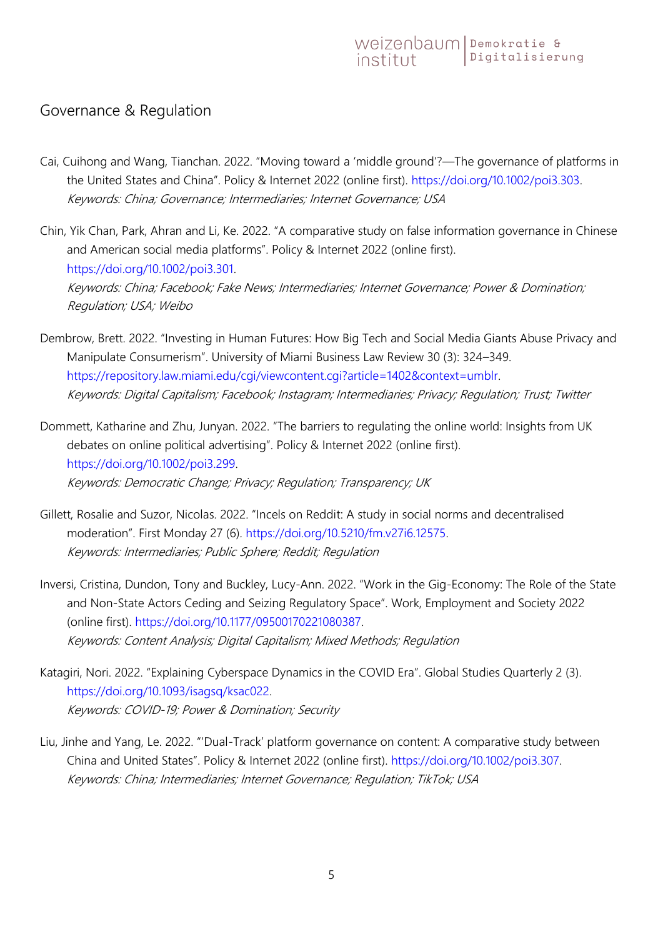#### <span id="page-4-0"></span>Governance & Regulation

- Cai, Cuihong and Wang, Tianchan. 2022. "Moving toward a 'middle ground'?—The governance of platforms in the United States and China". Policy & Internet 2022 (online first). [https://doi.org/10.1002/poi3.303.](https://doi.org/10.1002/poi3.303) Keywords: China; Governance; Intermediaries; Internet Governance; USA
- Chin, Yik Chan, Park, Ahran and Li, Ke. 2022. "A comparative study on false information governance in Chinese and American social media platforms". Policy & Internet 2022 (online first). [https://doi.org/10.1002/poi3.301.](https://doi.org/10.1002/poi3.301) Keywords: China; Facebook; Fake News; Intermediaries; Internet Governance; Power & Domination; Regulation; USA; Weibo
- Dembrow, Brett. 2022. "Investing in Human Futures: How Big Tech and Social Media Giants Abuse Privacy and Manipulate Consumerism". University of Miami Business Law Review 30 (3): 324–349. [https://repository.law.miami.edu/cgi/viewcontent.cgi?article=1402&context=umblr.](https://repository.law.miami.edu/cgi/viewcontent.cgi?article=1402&context=umblr) Keywords: Digital Capitalism; Facebook; Instagram; Intermediaries; Privacy; Regulation; Trust; Twitter
- Dommett, Katharine and Zhu, Junyan. 2022. "The barriers to regulating the online world: Insights from UK debates on online political advertising". Policy & Internet 2022 (online first). [https://doi.org/10.1002/poi3.299.](https://doi.org/10.1002/poi3.299) Keywords: Democratic Change; Privacy; Regulation; Transparency; UK
- Gillett, Rosalie and Suzor, Nicolas. 2022. "Incels on Reddit: A study in social norms and decentralised moderation". First Monday 27 (6). [https://doi.org/10.5210/fm.v27i6.12575.](https://doi.org/10.5210/fm.v27i6.12575) Keywords: Intermediaries; Public Sphere; Reddit; Regulation
- Inversi, Cristina, Dundon, Tony and Buckley, Lucy-Ann. 2022. "Work in the Gig-Economy: The Role of the State and Non-State Actors Ceding and Seizing Regulatory Space". Work, Employment and Society 2022 (online first). [https://doi.org/10.1177/09500170221080387.](https://doi.org/10.1177/09500170221080387) Keywords: Content Analysis; Digital Capitalism; Mixed Methods; Regulation
- Katagiri, Nori. 2022. "Explaining Cyberspace Dynamics in the COVID Era". Global Studies Quarterly 2 (3). [https://doi.org/10.1093/isagsq/ksac022.](https://doi.org/10.1093/isagsq/ksac022) Keywords: COVID-19; Power & Domination; Security
- Liu, Jinhe and Yang, Le. 2022. "'Dual-Track' platform governance on content: A comparative study between China and United States". Policy & Internet 2022 (online first). [https://doi.org/10.1002/poi3.307.](https://doi.org/10.1002/poi3.307) Keywords: China; Intermediaries; Internet Governance; Regulation; TikTok; USA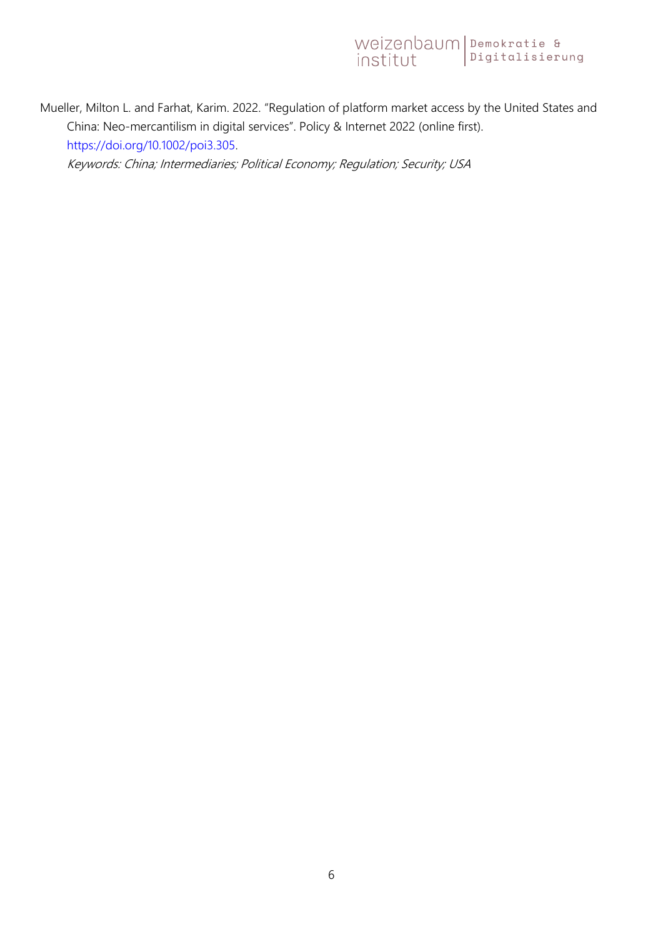Mueller, Milton L. and Farhat, Karim. 2022. "Regulation of platform market access by the United States and China: Neo-mercantilism in digital services". Policy & Internet 2022 (online first). [https://doi.org/10.1002/poi3.305.](https://doi.org/10.1002/poi3.305)

Keywords: China; Intermediaries; Political Economy; Regulation; Security; USA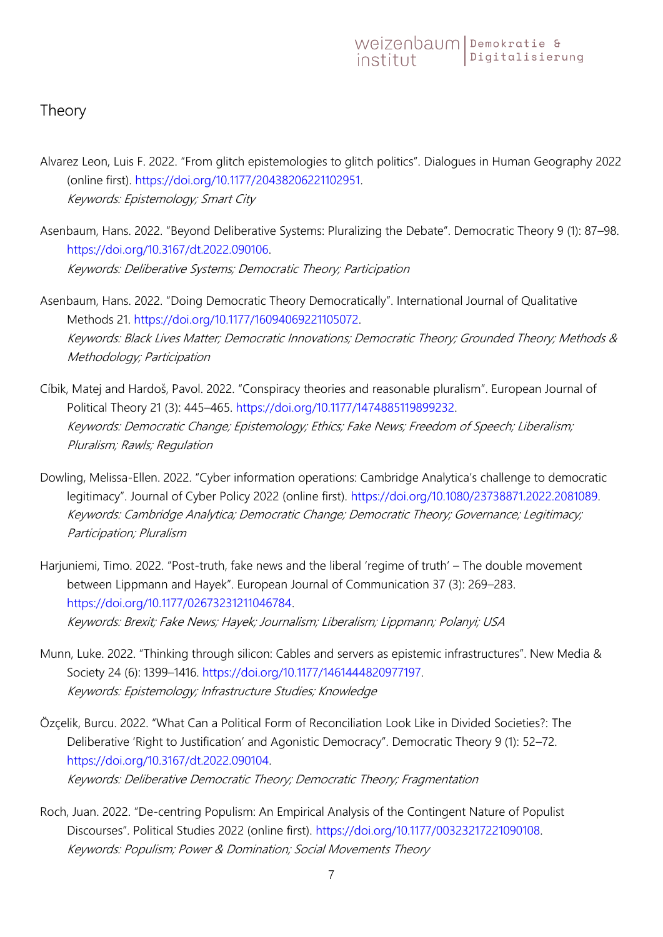#### <span id="page-6-0"></span>Theory

- Alvarez Leon, Luis F. 2022. "From glitch epistemologies to glitch politics". Dialogues in Human Geography 2022 (online first). [https://doi.org/10.1177/20438206221102951.](https://doi.org/10.1177/20438206221102951) Keywords: Epistemology; Smart City
- Asenbaum, Hans. 2022. "Beyond Deliberative Systems: Pluralizing the Debate". Democratic Theory 9 (1): 87–98. [https://doi.org/10.3167/dt.2022.090106.](https://doi.org/10.3167/dt.2022.090106) Keywords: Deliberative Systems; Democratic Theory; Participation
- Asenbaum, Hans. 2022. "Doing Democratic Theory Democratically". International Journal of Qualitative Methods 21. [https://doi.org/10.1177/16094069221105072.](https://doi.org/10.1177/16094069221105072) Keywords: Black Lives Matter; Democratic Innovations; Democratic Theory; Grounded Theory; Methods & Methodology; Participation
- Cíbik, Matej and Hardoš, Pavol. 2022. "Conspiracy theories and reasonable pluralism". European Journal of Political Theory 21 (3): 445–465. [https://doi.org/10.1177/1474885119899232.](https://doi.org/10.1177/1474885119899232) Keywords: Democratic Change; Epistemology; Ethics; Fake News; Freedom of Speech; Liberalism; Pluralism; Rawls; Regulation
- Dowling, Melissa-Ellen. 2022. "Cyber information operations: Cambridge Analytica's challenge to democratic legitimacy". Journal of Cyber Policy 2022 (online first). [https://doi.org/10.1080/23738871.2022.2081089.](https://doi.org/10.1080/23738871.2022.2081089) Keywords: Cambridge Analytica; Democratic Change; Democratic Theory; Governance; Legitimacy; Participation; Pluralism
- Harjuniemi, Timo. 2022. "Post-truth, fake news and the liberal 'regime of truth' The double movement between Lippmann and Hayek". European Journal of Communication 37 (3): 269–283. [https://doi.org/10.1177/02673231211046784.](https://doi.org/10.1177/02673231211046784) Keywords: Brexit; Fake News; Hayek; Journalism; Liberalism; Lippmann; Polanyi; USA
- Munn, Luke. 2022. "Thinking through silicon: Cables and servers as epistemic infrastructures". New Media & Society 24 (6): 1399–1416. [https://doi.org/10.1177/1461444820977197.](https://doi.org/10.1177/1461444820977197) Keywords: Epistemology; Infrastructure Studies; Knowledge
- Özçelik, Burcu. 2022. "What Can a Political Form of Reconciliation Look Like in Divided Societies?: The Deliberative 'Right to Justification' and Agonistic Democracy". Democratic Theory 9 (1): 52–72. [https://doi.org/10.3167/dt.2022.090104.](https://doi.org/10.3167/dt.2022.090104) Keywords: Deliberative Democratic Theory; Democratic Theory; Fragmentation
- Roch, Juan. 2022. "De-centring Populism: An Empirical Analysis of the Contingent Nature of Populist Discourses". Political Studies 2022 (online first). [https://doi.org/10.1177/00323217221090108.](https://doi.org/10.1177/00323217221090108) Keywords: Populism; Power & Domination; Social Movements Theory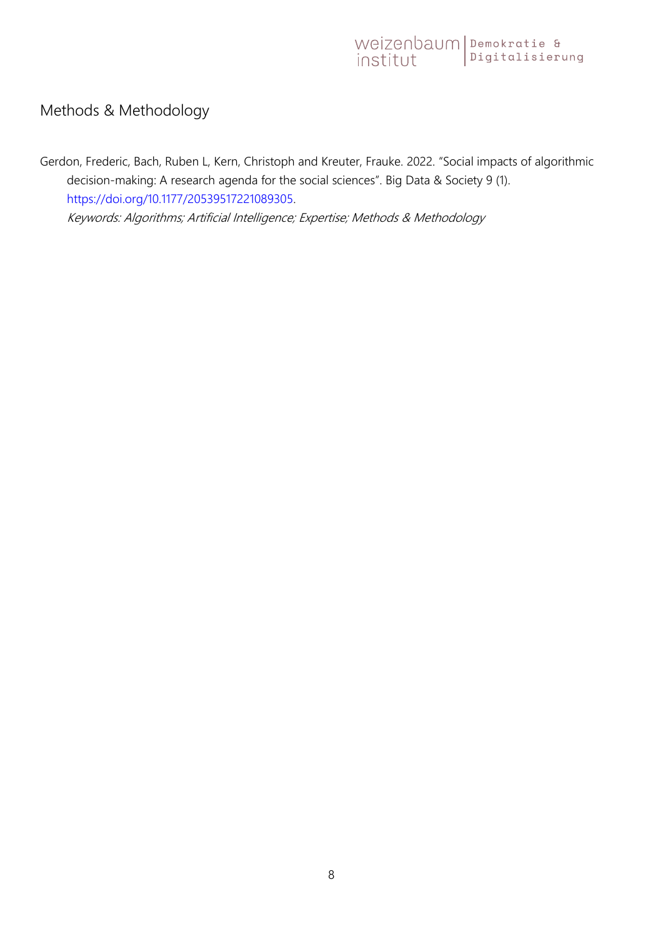#### <span id="page-7-0"></span>Methods & Methodology

Gerdon, Frederic, Bach, Ruben L, Kern, Christoph and Kreuter, Frauke. 2022. "Social impacts of algorithmic decision-making: A research agenda for the social sciences". Big Data & Society 9 (1). [https://doi.org/10.1177/20539517221089305.](https://doi.org/10.1177/20539517221089305) Keywords: Algorithms; Artificial Intelligence; Expertise; Methods & Methodology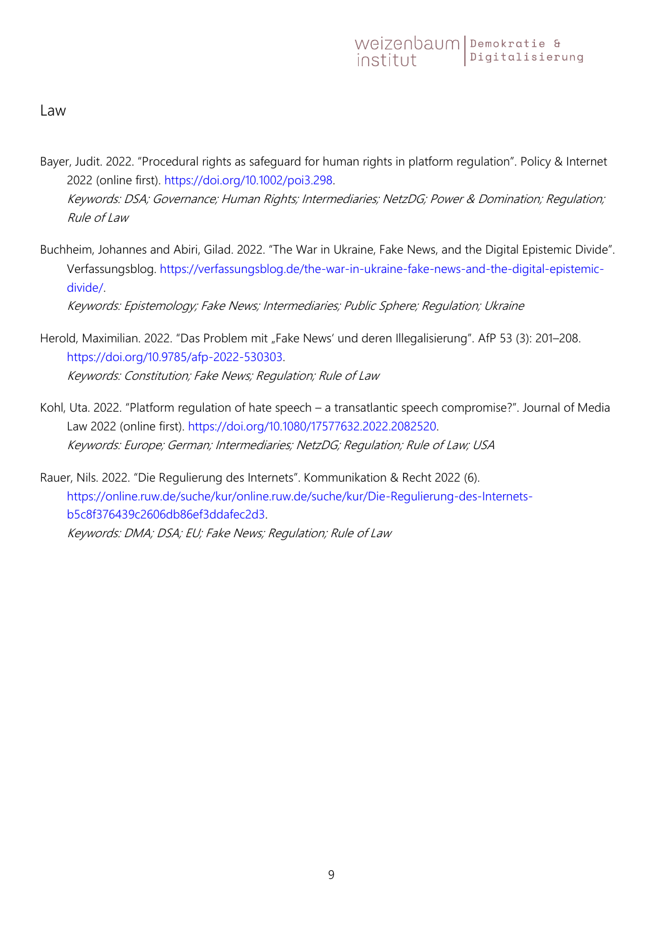<span id="page-8-0"></span>Law

- Bayer, Judit. 2022. "Procedural rights as safeguard for human rights in platform regulation". Policy & Internet 2022 (online first). [https://doi.org/10.1002/poi3.298.](https://doi.org/10.1002/poi3.298) Keywords: DSA; Governance; Human Rights; Intermediaries; NetzDG; Power & Domination; Regulation; Rule of Law
- Buchheim, Johannes and Abiri, Gilad. 2022. "The War in Ukraine, Fake News, and the Digital Epistemic Divide". Verfassungsblog. [https://verfassungsblog.de/the-war-in-ukraine-fake-news-and-the-digital-epistemic](https://verfassungsblog.de/the-war-in-ukraine-fake-news-and-the-digital-epistemic-divide/)[divide/.](https://verfassungsblog.de/the-war-in-ukraine-fake-news-and-the-digital-epistemic-divide/)

Keywords: Epistemology; Fake News; Intermediaries; Public Sphere; Regulation; Ukraine

- Herold, Maximilian. 2022. "Das Problem mit "Fake News' und deren Illegalisierung". AfP 53 (3): 201–208. [https://doi.org/10.9785/afp-2022-530303.](https://doi.org/10.9785/afp-2022-530303) Keywords: Constitution; Fake News; Regulation; Rule of Law
- Kohl, Uta. 2022. "Platform regulation of hate speech a transatlantic speech compromise?". Journal of Media Law 2022 (online first). [https://doi.org/10.1080/17577632.2022.2082520.](https://doi.org/10.1080/17577632.2022.2082520) Keywords: Europe; German; Intermediaries; NetzDG; Regulation; Rule of Law; USA

Rauer, Nils. 2022. "Die Regulierung des Internets". Kommunikation & Recht 2022 (6). [https://online.ruw.de/suche/kur/online.ruw.de/suche/kur/Die-Regulierung-des-Internets](https://online.ruw.de/suche/kur/online.ruw.de/suche/kur/Die-Regulierung-des-Internets-b5c8f376439c2606db86ef3ddafec2d3)[b5c8f376439c2606db86ef3ddafec2d3.](https://online.ruw.de/suche/kur/online.ruw.de/suche/kur/Die-Regulierung-des-Internets-b5c8f376439c2606db86ef3ddafec2d3) Keywords: DMA; DSA; EU; Fake News; Regulation; Rule of Law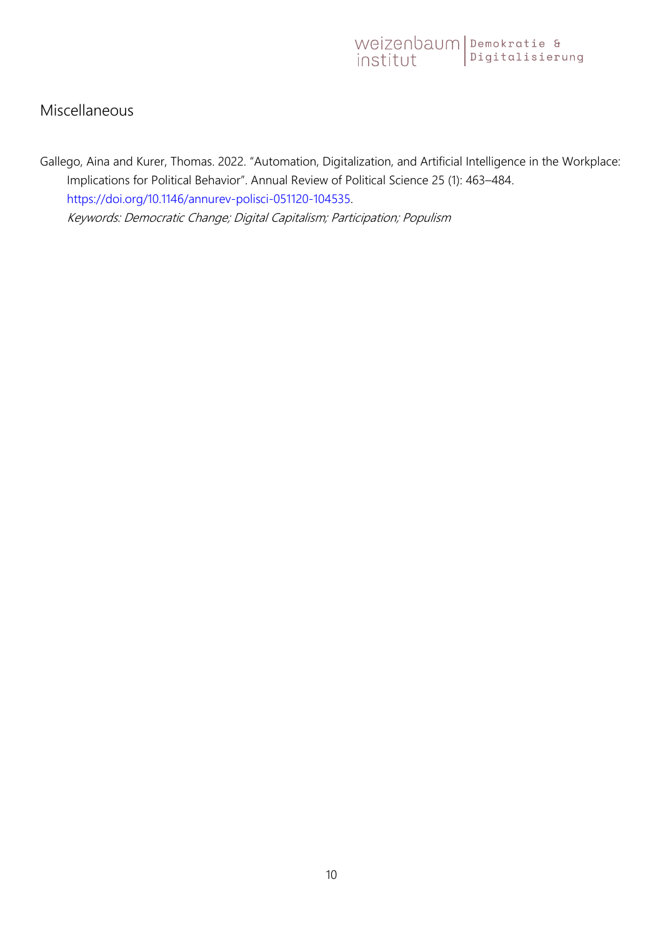#### <span id="page-9-0"></span>Miscellaneous

Gallego, Aina and Kurer, Thomas. 2022. "Automation, Digitalization, and Artificial Intelligence in the Workplace: Implications for Political Behavior". Annual Review of Political Science 25 (1): 463–484. [https://doi.org/10.1146/annurev-polisci-051120-104535.](https://doi.org/10.1146/annurev-polisci-051120-104535) Keywords: Democratic Change; Digital Capitalism; Participation; Populism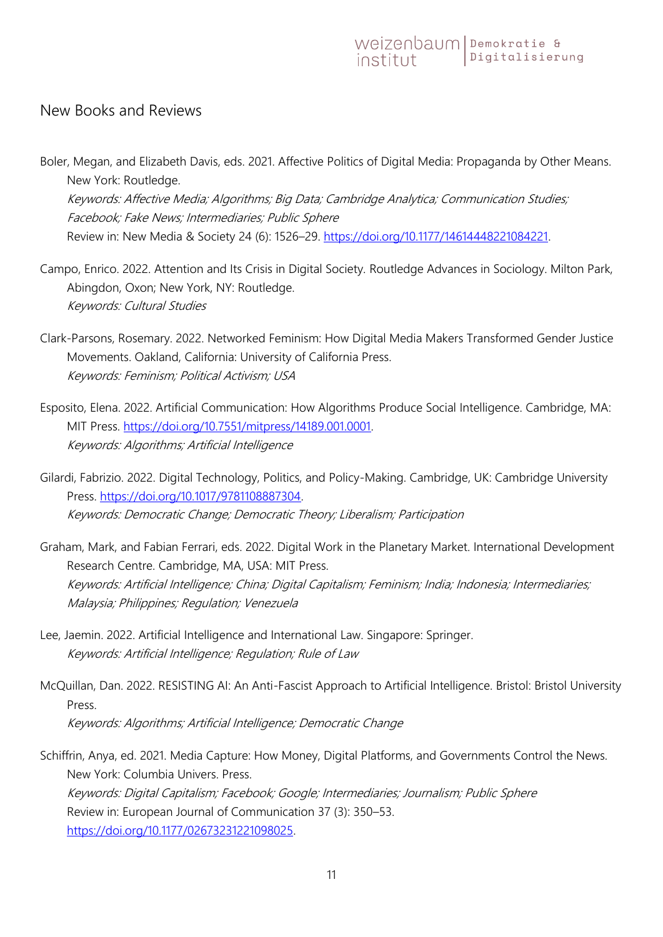#### <span id="page-10-0"></span>New Books and Reviews

Boler, Megan, and Elizabeth Davis, eds. 2021. Affective Politics of Digital Media: Propaganda by Other Means. New York: Routledge. Keywords: Affective Media; Algorithms; Big Data; Cambridge Analytica; Communication Studies;

Facebook; Fake News; Intermediaries; Public Sphere Review in: New Media & Society 24 (6): 1526-29. [https://doi.org/10.1177/14614448221084221.](https://doi.org/10.1177/14614448221084221)

- Campo, Enrico. 2022. Attention and Its Crisis in Digital Society. Routledge Advances in Sociology. Milton Park, Abingdon, Oxon; New York, NY: Routledge. Keywords: Cultural Studies
- Clark-Parsons, Rosemary. 2022. Networked Feminism: How Digital Media Makers Transformed Gender Justice Movements. Oakland, California: University of California Press. Keywords: Feminism; Political Activism; USA
- Esposito, Elena. 2022. Artificial Communication: How Algorithms Produce Social Intelligence. Cambridge, MA: MIT Press. [https://doi.org/10.7551/mitpress/14189.001.0001.](https://doi.org/10.7551/mitpress/14189.001.0001) Keywords: Algorithms; Artificial Intelligence

Gilardi, Fabrizio. 2022. Digital Technology, Politics, and Policy-Making. Cambridge, UK: Cambridge University Press. [https://doi.org/10.1017/9781108887304.](https://doi.org/10.1017/9781108887304) Keywords: Democratic Change; Democratic Theory; Liberalism; Participation

- Graham, Mark, and Fabian Ferrari, eds. 2022. Digital Work in the Planetary Market. International Development Research Centre. Cambridge, MA, USA: MIT Press. Keywords: Artificial Intelligence; China; Digital Capitalism; Feminism; India; Indonesia; Intermediaries; Malaysia; Philippines; Regulation; Venezuela
- Lee, Jaemin. 2022. Artificial Intelligence and International Law. Singapore: Springer. Keywords: Artificial Intelligence; Regulation; Rule of Law
- McQuillan, Dan. 2022. RESISTING AI: An Anti-Fascist Approach to Artificial Intelligence. Bristol: Bristol University Press. Keywords: Algorithms; Artificial Intelligence; Democratic Change

Schiffrin, Anya, ed. 2021. Media Capture: How Money, Digital Platforms, and Governments Control the News. New York: Columbia Univers. Press. Keywords: Digital Capitalism; Facebook; Google; Intermediaries; Journalism; Public Sphere Review in: European Journal of Communication 37 (3): 350–53. [https://doi.org/10.1177/02673231221098025.](https://doi.org/10.1177/02673231221098025)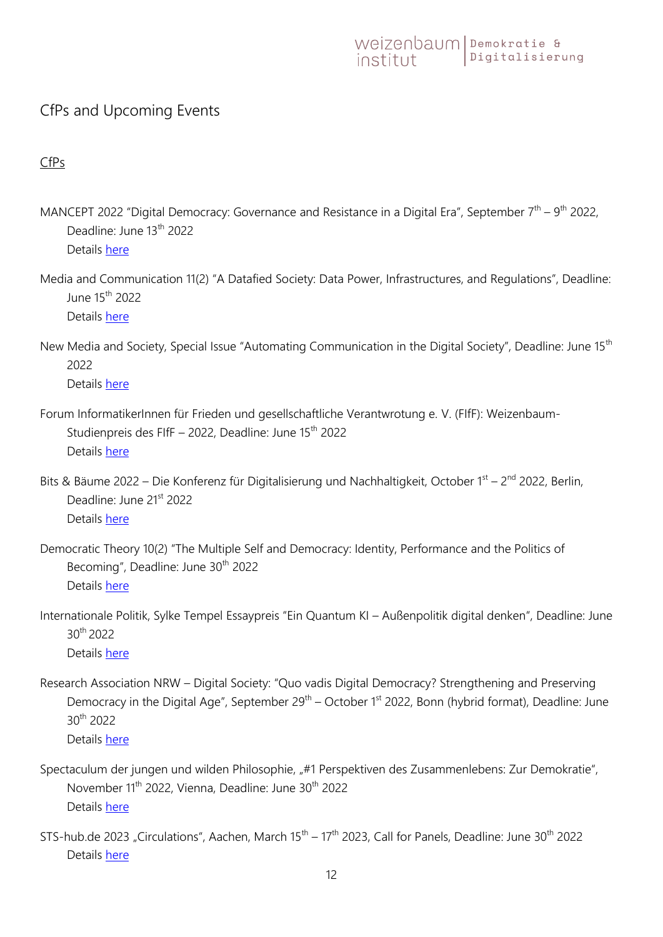#### <span id="page-11-0"></span>CfPs and Upcoming Events

#### <span id="page-11-1"></span>CfPs

- MANCEPT 2022 "Digital Democracy: Governance and Resistance in a Digital Era", September  $7<sup>th</sup> 9<sup>th</sup>$  2022, Deadline: June 13<sup>th</sup> 2022 Details [here](https://sites.manchester.ac.uk/mancept/mancept-workshops/programme-2022-panels/digitaldemocracy/)
- Media and Communication 11(2) "A Datafied Society: Data Power, Infrastructures, and Regulations", Deadline: June 15th 2022

Details [here](https://www.cogitatiopress.com/mediaandcommunication/pages/view/nextissues#DataPower)

New Media and Society, Special Issue "Automating Communication in the Digital Society", Deadline: June 15<sup>th</sup> 2022

Details [here](https://www.uni-bremen.de/fileadmin/user_upload/fachbereiche/fb9/zemki/media/photos/publikationen/special-issues/CfP__Special_Issue_NMS_Automating_Communication.pdf)

- Forum InformatikerInnen für Frieden und gesellschaftliche Verantwrotung e. V. (FIfF): Weizenbaum-Studienpreis des FIfF – 2022, Deadline: June  $15<sup>th</sup>$  2022 Details [here](https://www.fiff.de/studienpreis/)
- Bits & Bäume 2022 Die Konferenz für Digitalisierung und Nachhaltigkeit, October 1<sup>st</sup> 2<sup>nd</sup> 2022, Berlin, Deadline: June 21<sup>st</sup> 2022 Details [here](https://pretalx.com/bitsundbaeume/cfp)
- Democratic Theory 10(2) "The Multiple Self and Democracy: Identity, Performance and the Politics of Becoming", Deadline: June 30<sup>th</sup> 2022 Details [here](https://journals.berghahnbooks.com/_uploads/dt/dt_cfp_MultipleSelf.pdf)
- Internationale Politik, Sylke Tempel Essaypreis "Ein Quantum KI Außenpolitik digital denken", Deadline: June 30th 2022 Details [here](https://internationalepolitik.de/de/ein-quantum-ki-aussenpolitik-digital-denken)
- Research Association NRW Digital Society: "Quo vadis Digital Democracy? Strengthening and Preserving Democracy in the Digital Age", September 29<sup>th</sup> – October 1<sup>st</sup> 2022, Bonn (hybrid format), Deadline: June 30th 2022 Details [here](https://www.theorieblog.de/wp-content/uploads/2022/04/Call-for-Participation-Quo-Vadis-Digital-Democracy1.pdf)
- Spectaculum der jungen und wilden Philosophie, "#1 Perspektiven des Zusammenlebens: Zur Demokratie", November 11<sup>th</sup> 2022, Vienna, Deadline: June 30<sup>th</sup> 2022 Details [here](https://www.theorieblog.de/wp-content/uploads/2022/06/Einladung-OpenSpace-1.pdf)
- STS-hub.de 2023 "Circulations", Aachen, March  $15<sup>th</sup> 17<sup>th</sup>$  2023, Call for Panels, Deadline: June 30<sup>th</sup> 2022 Details [here](https://sts-hub.de/CallForPanelsSTS-hub.de2023.pdf)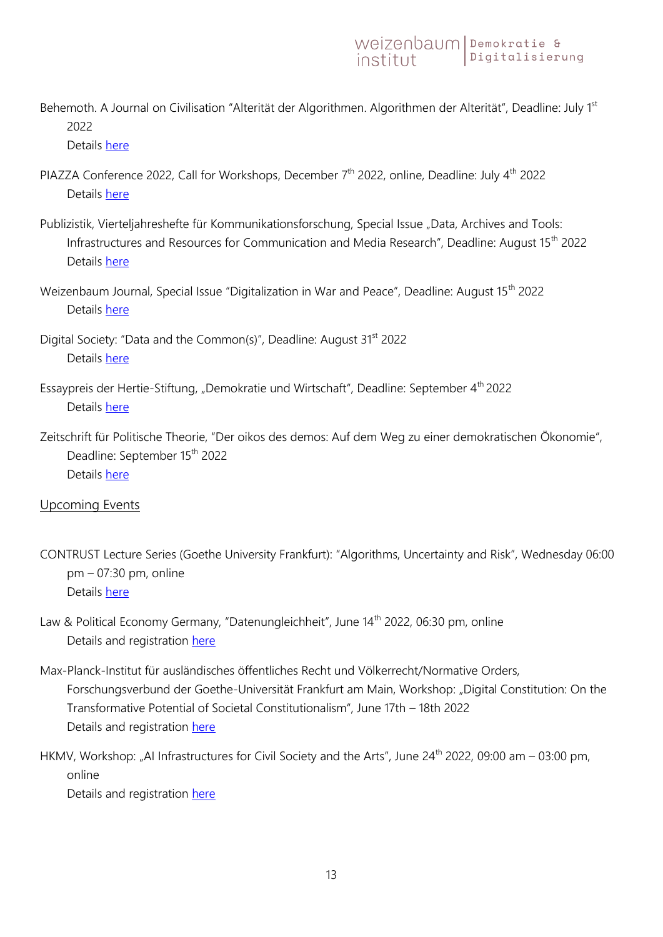Behemoth. A Journal on Civilisation "Alterität der Algorithmen. Algorithmen der Alterität", Deadline: July 1st 2022

Details [here](https://www.soziopolis.de/ausschreibungen/call/alteritaet-der-algorithmen-algorithmen-der-alteritaet.html)

- PIAZZA Conference 2022, Call for Workshops, December  $7<sup>th</sup>$  2022, online, Deadline: July  $4<sup>th</sup>$  2022 Details [here](https://piazza-konferenz.de/call-for-workshops-2022/)
- Publizistik, Vierteljahreshefte für Kommunikationsforschung, Special Issue "Data, Archives and Tools: Infrastructures and Resources for Communication and Media Research", Deadline: August 15th 2022 Details [here](https://www.springer.com/journal/11616/updates/20566430)
- Weizenbaum Journal, Special Issue "Digitalization in War and Peace", Deadline: August 15<sup>th</sup> 2022 Details [here](https://ojs.weizenbaum-institut.de/index.php/wjds/announcement/view/1)
- Digital Society: "Data and the Common(s)", Deadline: August 31<sup>st</sup> 2022 Details [here](https://link.springer.com/collections/dbeijdbebj)
- Essaypreis der Hertie-Stiftung, "Demokratie und Wirtschaft", Deadline: September 4<sup>th</sup> 2022 Details [here](https://www.ghst.de/essaypreis/)
- Zeitschrift für Politische Theorie, "Der oikos des demos: Auf dem Weg zu einer demokratischen Ökonomie", Deadline: September 15<sup>th</sup> 2022 Details [here](https://zpth.de/pages/call-for-papers.php)

#### <span id="page-12-0"></span>Upcoming Events

- CONTRUST Lecture Series (Goethe University Frankfurt): "Algorithms, Uncertainty and Risk", Wednesday 06:00 pm – 07:30 pm, online Details [here](https://contrust.uni-frankfurt.de/algorithms-uncertainty-and-risk/)
- Law & Political Economy Germany, "Datenungleichheit", June 14<sup>th</sup> 2022, 06:30 pm, online Details and registration [here](https://lpeg.pubpub.org/pub/2t8092wq/release/5)
- Max-Planck-Institut für ausländisches öffentliches Recht und Völkerrecht/Normative Orders, Forschungsverbund der Goethe-Universität Frankfurt am Main, Workshop: "Digital Constitution: On the Transformative Potential of Societal Constitutionalism", June 17th – 18th 2022 Details and registration [here](https://www.mpil.de/files/pdf6/digital-constitution_ijgls-symposium_program_for-circulation.pdf)
- HKMV, Workshop: "AI Infrastructures for Civil Society and the Arts", June 24<sup>th</sup> 2022, 09:00 am 03:00 pm, online

Details and registration [here](https://hmkv.de/events/events-details/symposium-ai-infrastructures-for-civil-society-and-the-arts.html)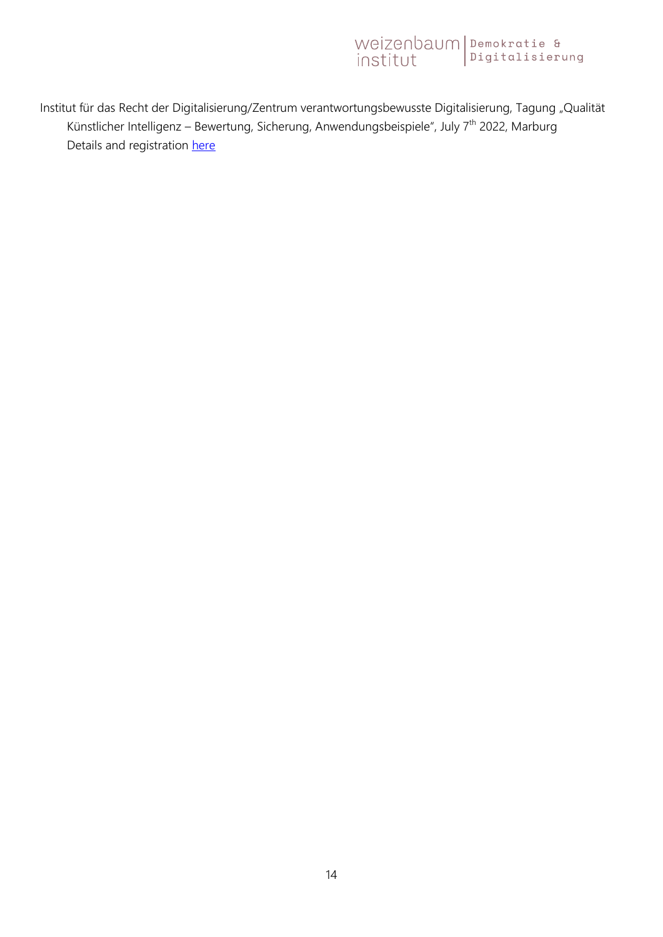Institut für das Recht der Digitalisierung/Zentrum verantwortungsbewusste Digitalisierung, Tagung "Qualität Künstlicher Intelligenz – Bewertung, Sicherung, Anwendungsbeispiele", July 7<sup>th</sup> 2022, Marburg Details and registration [here](https://pretix.eu/irdi-zevedi/qualitaetki/)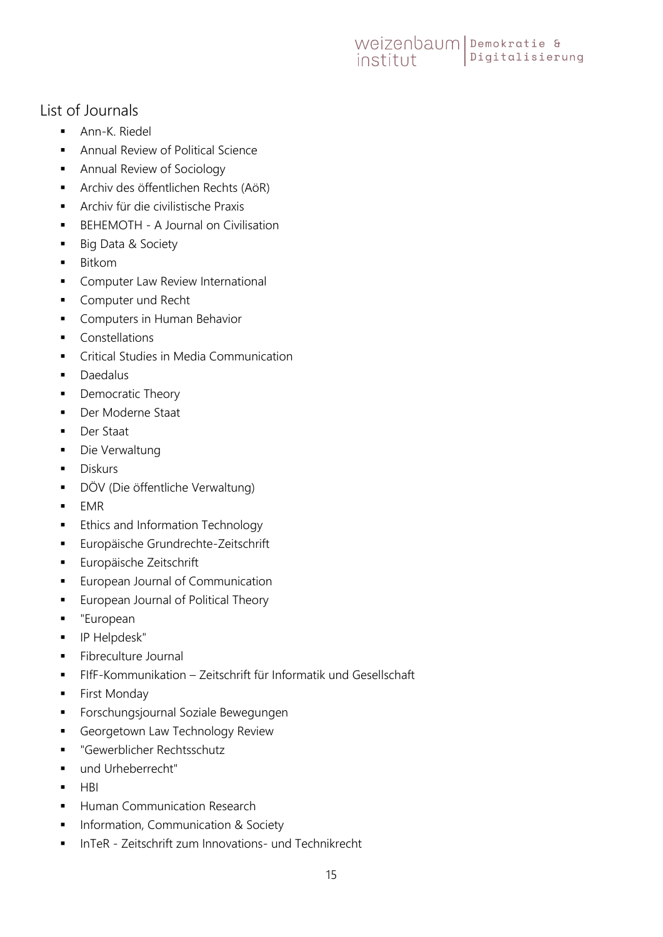#### <span id="page-14-0"></span>List of Journals

- **Ann-K. Riedel**
- **Annual Review of Political Science**
- **Annual Review of Sociology**
- **Archiv des öffentlichen Rechts (AöR)**
- Archiv für die civilistische Praxis
- **BEHEMOTH A Journal on Civilisation**
- **Big Data & Society**
- **Bitkom**
- **Computer Law Review International**
- **Computer und Recht**
- **Computers in Human Behavior**
- Constellations
- **•** Critical Studies in Media Communication
- **Daedalus**
- Democratic Theory
- **Der Moderne Staat**
- **Der Staat**
- **Die Verwaltung**
- **Diskurs**
- DÖV (Die öffentliche Verwaltung)
- $EMR$
- **Ethics and Information Technology**
- **Europäische Grundrechte-Zeitschrift**
- **Europäische Zeitschrift**
- **European Journal of Communication**
- **European Journal of Political Theory**
- "European
- **IP Helpdesk"**
- **Fibreculture Journal**
- FIfF-Kommunikation Zeitschrift für Informatik und Gesellschaft
- **First Monday**
- **Forschungsjournal Soziale Bewegungen**
- Georgetown Law Technology Review
- "Gewerblicher Rechtsschutz
- und Urheberrecht"
- $-HBI$
- **Human Communication Research**
- **Information, Communication & Society**
- InTeR Zeitschrift zum Innovations- und Technikrecht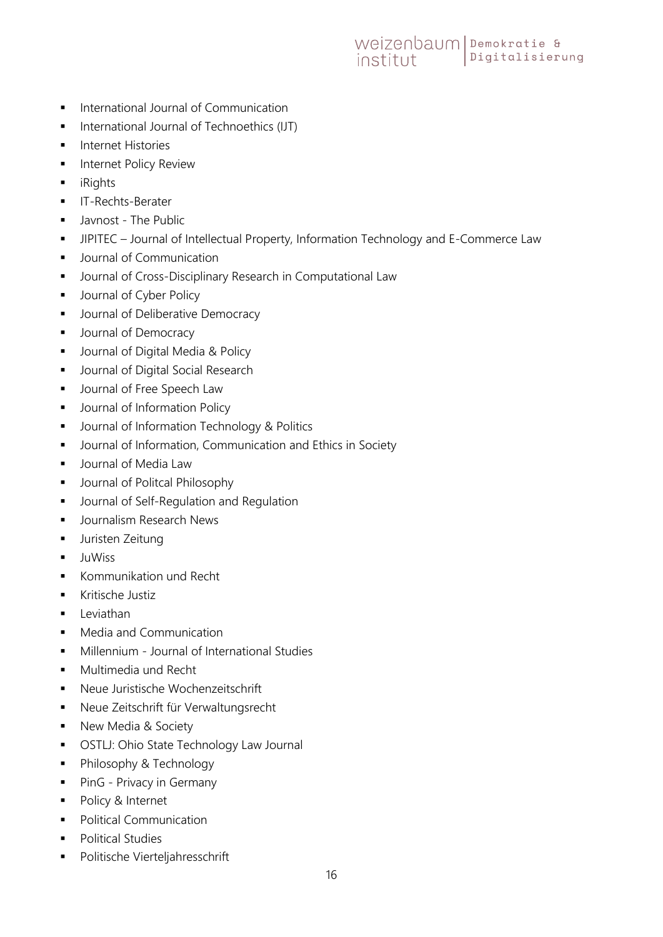- **International Journal of Communication**
- **International Journal of Technoethics (IJT)**
- **Internet Histories**
- **Internet Policy Review**
- **n** iRights
- **IT-Rechts-Berater**
- **Javnost The Public**
- **JIPITEC** Journal of Intellectual Property, Information Technology and E-Commerce Law
- **Journal of Communication**
- **•** Journal of Cross-Disciplinary Research in Computational Law
- **Journal of Cyber Policy**
- **Journal of Deliberative Democracy**
- **Journal of Democracy**
- **Journal of Digital Media & Policy**
- **Journal of Digital Social Research**
- **Journal of Free Speech Law**
- **Journal of Information Policy**
- **Journal of Information Technology & Politics**
- **Journal of Information, Communication and Ethics in Society**
- **Journal of Media Law**
- **Journal of Politcal Philosophy**
- **Journal of Self-Regulation and Regulation**
- **Journalism Research News**
- **Juristen Zeitung**
- **JuWiss**
- **Kommunikation und Recht**
- **Kritische Justiz**
- **Leviathan**
- **Media and Communication**
- **Millennium Journal of International Studies**
- **Multimedia und Recht**
- Neue Juristische Wochenzeitschrift
- Neue Zeitschrift für Verwaltungsrecht
- New Media & Society
- **OSTLJ: Ohio State Technology Law Journal**
- **Philosophy & Technology**
- **PinG Privacy in Germany**
- Policy & Internet
- Political Communication
- Political Studies
- Politische Vierteljahresschrift